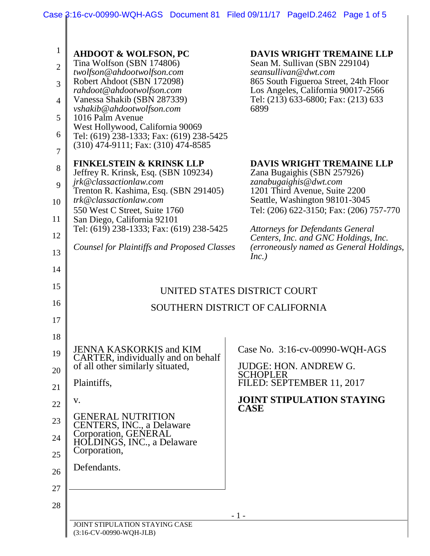|                | Case 3:16-cv-00990-WQH-AGS Document 81 Filed 09/11/17 PageID.2462 Page 1 of 5 |                                                                                 |  |  |  |  |
|----------------|-------------------------------------------------------------------------------|---------------------------------------------------------------------------------|--|--|--|--|
| $\mathbf{1}$   |                                                                               |                                                                                 |  |  |  |  |
| $\overline{2}$ | <b>AHDOOT &amp; WOLFSON, PC</b><br>Tina Wolfson (SBN 174806)                  | <b>DAVIS WRIGHT TREMAINE LLP</b><br>Sean M. Sullivan (SBN 229104)               |  |  |  |  |
|                | twolfson@ahdootwolfson.com<br>Robert Ahdoot (SBN 172098)                      | seansullivan@dwt.com<br>865 South Figueroa Street, 24th Floor                   |  |  |  |  |
| 3              | rahdoot@ahdootwolfson.com                                                     | Los Angeles, California 90017-2566                                              |  |  |  |  |
| $\overline{4}$ | Vanessa Shakib (SBN 287339)<br>vshakib@ahdootwolfson.com                      | Tel: (213) 633-6800; Fax: (213) 633<br>6899                                     |  |  |  |  |
| 5              | 1016 Palm Avenue                                                              |                                                                                 |  |  |  |  |
| 6              | West Hollywood, California 90069<br>Tel: (619) 238-1333; Fax: (619) 238-5425  |                                                                                 |  |  |  |  |
| 7              | $(310)$ 474-9111; Fax: $(310)$ 474-8585                                       |                                                                                 |  |  |  |  |
|                | <b>FINKELSTEIN &amp; KRINSK LLP</b>                                           | <b>DAVIS WRIGHT TREMAINE LLP</b>                                                |  |  |  |  |
| 8              | Jeffrey R. Krinsk, Esq. (SBN 109234)                                          | Zana Bugaighis (SBN 257926)                                                     |  |  |  |  |
| 9              | jrk@classactionlaw.com<br>Trenton R. Kashima, Esq. (SBN 291405)               | zanabugaighis@dwt.com<br>1201 Third Avenue, Suite 2200                          |  |  |  |  |
| 10             | trk@classactionlaw.com<br>550 West C Street, Suite 1760                       | Seattle, Washington 98101-3045<br>Tel: (206) 622-3150; Fax: (206) 757-770       |  |  |  |  |
| 11             | San Diego, California 92101                                                   |                                                                                 |  |  |  |  |
| 12             | Tel: (619) 238-1333; Fax: (619) 238-5425                                      | <b>Attorneys for Defendants General</b><br>Centers, Inc. and GNC Holdings, Inc. |  |  |  |  |
| 13             | <b>Counsel for Plaintiffs and Proposed Classes</b>                            | (erroneously named as General Holdings,<br>Inc.)                                |  |  |  |  |
| 14             |                                                                               |                                                                                 |  |  |  |  |
| 15             | UNITED STATES DISTRICT COURT                                                  |                                                                                 |  |  |  |  |
| 16             | SOUTHERN DISTRICT OF CALIFORNIA                                               |                                                                                 |  |  |  |  |
| 17             |                                                                               |                                                                                 |  |  |  |  |
| 18             |                                                                               |                                                                                 |  |  |  |  |
| 19             | <b>JENNA KASKORKIS and KIM</b>                                                | Case No. 3:16-cv-00990-WQH-AGS                                                  |  |  |  |  |
| 20             | CARTER, individually and on behalf<br>of all other similarly situated,        | <b>JUDGE: HON. ANDREW G.</b>                                                    |  |  |  |  |
|                | Plaintiffs,                                                                   | <b>SCHOPLER</b><br>FILED: SEPTEMBER 11, 2017                                    |  |  |  |  |
| 21             |                                                                               |                                                                                 |  |  |  |  |
| 22             | V.                                                                            | <b>JOINT STIPULATION STAYING</b><br><b>CASE</b>                                 |  |  |  |  |
| 23             | <b>GENERAL NUTRITION</b><br>CENTERS, INC., a Delaware                         |                                                                                 |  |  |  |  |
| 24             | Corporation, GENERAL<br>HOLDINGS, INC., a Delaware                            |                                                                                 |  |  |  |  |
| 25             | Corporation,                                                                  |                                                                                 |  |  |  |  |
| 26             | Defendants.                                                                   |                                                                                 |  |  |  |  |
| 27             |                                                                               |                                                                                 |  |  |  |  |
| 28             |                                                                               |                                                                                 |  |  |  |  |
|                |                                                                               | $-1-$                                                                           |  |  |  |  |
|                | JOINT STIPULATION STAYING CASE<br>(3:16-CV-00990-WQH-JLB)                     |                                                                                 |  |  |  |  |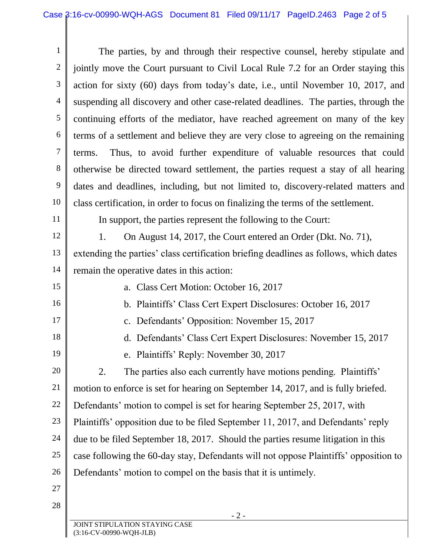| $\mathbf{1}$   | The parties, by and through their respective counsel, hereby stipulate and            |
|----------------|---------------------------------------------------------------------------------------|
| $\overline{2}$ | jointly move the Court pursuant to Civil Local Rule 7.2 for an Order staying this     |
| 3              | action for sixty (60) days from today's date, i.e., until November 10, 2017, and      |
| $\overline{4}$ | suspending all discovery and other case-related deadlines. The parties, through the   |
| 5              | continuing efforts of the mediator, have reached agreement on many of the key         |
| 6              | terms of a settlement and believe they are very close to agreeing on the remaining    |
| 7              | Thus, to avoid further expenditure of valuable resources that could<br>terms.         |
| 8              | otherwise be directed toward settlement, the parties request a stay of all hearing    |
| 9              | dates and deadlines, including, but not limited to, discovery-related matters and     |
| 10             | class certification, in order to focus on finalizing the terms of the settlement.     |
| 11             | In support, the parties represent the following to the Court:                         |
| 12             | On August 14, 2017, the Court entered an Order (Dkt. No. 71),<br>1.                   |
| 13             | extending the parties' class certification briefing deadlines as follows, which dates |
| 14             | remain the operative dates in this action:                                            |
| 15             | a. Class Cert Motion: October 16, 2017                                                |
| 16             | b. Plaintiffs' Class Cert Expert Disclosures: October 16, 2017                        |
| 17             | c. Defendants' Opposition: November 15, 2017                                          |
| 18             | d. Defendants' Class Cert Expert Disclosures: November 15, 2017                       |
| 19             | e. Plaintiffs' Reply: November 30, 2017                                               |
| 20             | The parties also each currently have motions pending. Plaintiffs'<br>2.               |
| 21             | motion to enforce is set for hearing on September 14, 2017, and is fully briefed.     |
| 22             | Defendants' motion to compel is set for hearing September 25, 2017, with              |
| 23             | Plaintiffs' opposition due to be filed September 11, 2017, and Defendants' reply      |
| 24             | due to be filed September 18, 2017. Should the parties resume litigation in this      |
| 25             | case following the 60-day stay, Defendants will not oppose Plaintiffs' opposition to  |
| 26             | Defendants' motion to compel on the basis that it is untimely.                        |
| 27             |                                                                                       |
| 28             |                                                                                       |
|                | $-2-$<br><b>IQINT STIPHILATION STAVING CASE</b>                                       |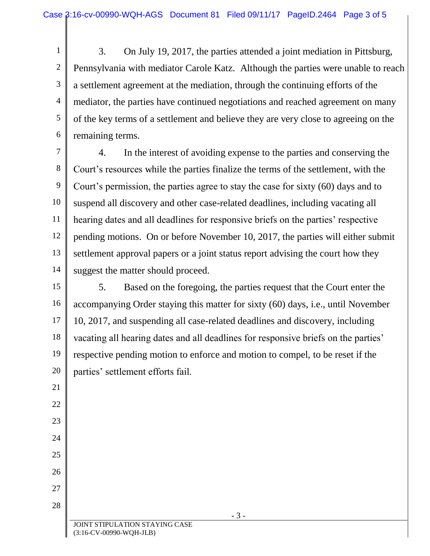1 2 3 4 5 6 3. On July 19, 2017, the parties attended a joint mediation in Pittsburg, Pennsylvania with mediator Carole Katz. Although the parties were unable to reach a settlement agreement at the mediation, through the continuing efforts of the mediator, the parties have continued negotiations and reached agreement on many of the key terms of a settlement and believe they are very close to agreeing on the remaining terms.

7 8 9 10 11 12 13 14 4. In the interest of avoiding expense to the parties and conserving the Court's resources while the parties finalize the terms of the settlement, with the Court's permission, the parties agree to stay the case for sixty (60) days and to suspend all discovery and other case-related deadlines, including vacating all hearing dates and all deadlines for responsive briefs on the parties' respective pending motions. On or before November 10, 2017, the parties will either submit settlement approval papers or a joint status report advising the court how they suggest the matter should proceed.

15 16 17 18 19 20 5. Based on the foregoing, the parties request that the Court enter the accompanying Order staying this matter for sixty (60) days, i.e., until November 10, 2017, and suspending all case-related deadlines and discovery, including vacating all hearing dates and all deadlines for responsive briefs on the parties' respective pending motion to enforce and motion to compel, to be reset if the parties' settlement efforts fail.

JOINT STIPULATION STAYING CASE (3:16-CV-00990-WQH-JLB)

21

22

23

24

25

26

27

28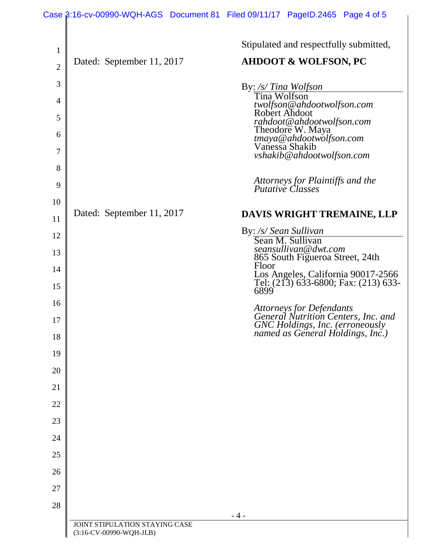|                | Case $\beta$ :16-cv-00990-WQH-AGS Document 81 Filed 09/11/17 PageID.2465 Page 4 of 5 |                                      |                                                                     |                                                                            |
|----------------|--------------------------------------------------------------------------------------|--------------------------------------|---------------------------------------------------------------------|----------------------------------------------------------------------------|
| $\mathbf{1}$   |                                                                                      |                                      | Stipulated and respectfully submitted,                              |                                                                            |
| $\overline{2}$ | Dated: September 11, 2017                                                            |                                      | <b>AHDOOT &amp; WOLFSON, PC</b>                                     |                                                                            |
| 3              |                                                                                      | By: /s/ Tina Wolfson<br>Tina Wolfson |                                                                     |                                                                            |
| 4              |                                                                                      |                                      | twolfson@ahdootwolfson.com                                          |                                                                            |
| 5              |                                                                                      | Robert Ahdoot                        | rahdoot@ahdootwolfson.com                                           |                                                                            |
| 6              |                                                                                      |                                      | Theodore W. Maya<br>tmaya@ahdootwolfson.com<br>Vanessa Shakib       |                                                                            |
| 7              |                                                                                      |                                      | vshakib@ahdootwolfson.com                                           |                                                                            |
| 8              |                                                                                      |                                      |                                                                     |                                                                            |
| 9              |                                                                                      |                                      | Attorneys for Plaintiffs and the<br>Putative Classes                |                                                                            |
| 10             | Dated: September 11, 2017                                                            |                                      |                                                                     | DAVIS WRIGHT TREMAINE, LLP                                                 |
| 11             |                                                                                      | By: /s/ Sean Sullivan                |                                                                     |                                                                            |
| 12<br>13       |                                                                                      |                                      | Sean M. Sullivan<br>seansullivan@dwt.com                            |                                                                            |
| 14             |                                                                                      | Floor                                | 865 South Figueroa Street, 24th                                     |                                                                            |
| 15             |                                                                                      | 6899                                 |                                                                     | Los Angeles, California 90017-2566<br>Tel: (213) 633-6800; Fax: (213) 633- |
| 16             |                                                                                      |                                      |                                                                     |                                                                            |
| 17             |                                                                                      |                                      |                                                                     | Attorneys for Defendants<br>General Nutrition Centers, Inc. and            |
| 18             |                                                                                      |                                      | GNC Holdings, Inc. (erroneously<br>named as General Holdings, Inc.) |                                                                            |
| 19             |                                                                                      |                                      |                                                                     |                                                                            |
| 20             |                                                                                      |                                      |                                                                     |                                                                            |
| 21             |                                                                                      |                                      |                                                                     |                                                                            |
| 22             |                                                                                      |                                      |                                                                     |                                                                            |
| 23             |                                                                                      |                                      |                                                                     |                                                                            |
| 24             |                                                                                      |                                      |                                                                     |                                                                            |
| 25             |                                                                                      |                                      |                                                                     |                                                                            |
| 26<br>27       |                                                                                      |                                      |                                                                     |                                                                            |
| 28             |                                                                                      |                                      |                                                                     |                                                                            |
|                | JOINT STIPULATION STAYING CASE                                                       | - 4 -                                |                                                                     |                                                                            |
|                | (3:16-CV-00990-WQH-JLB)                                                              |                                      |                                                                     |                                                                            |